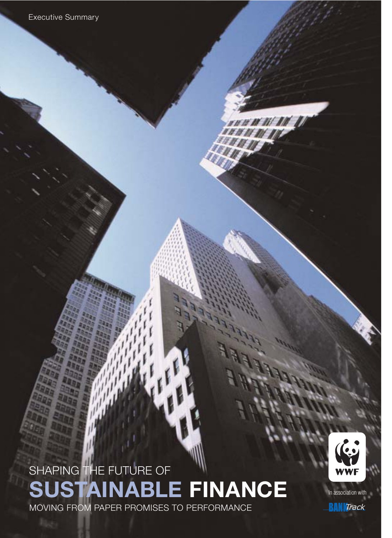# SHAPING THE FUTURE OF **SUSTAINABLE FINANCE** MOVING FROM PAPER PROMISES TO PERFORMANCE



In association with **BAN** *Track*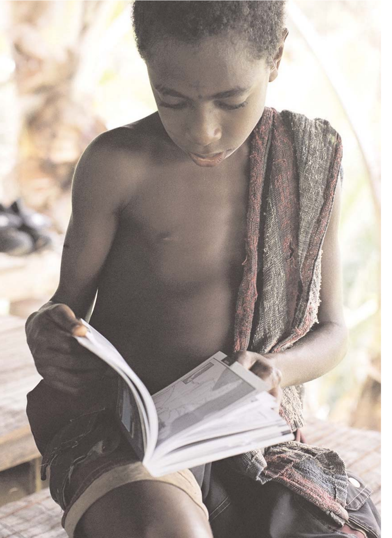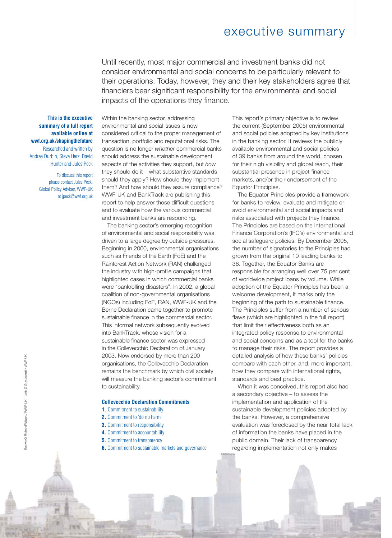# executive summary

Until recently, most major commercial and investment banks did not consider environmental and social concerns to be particularly relevant to their operations. Today, however, they and their key stakeholders agree that financiers bear significant responsibility for the environmental and social impacts of the operations they finance.

**This is the executive summary of a full report available online at wwf.org.uk/shapingthefuture** Researched and written by Andrea Durbin, Steve Herz, David Hunter and Jules Peck

> To discuss this report please contact Jules Peck, Global Policy Adviser, WWF-UK at jpeck@wwf.org.uk

Within the banking sector, addressing environmental and social issues is now considered critical to the proper management of transaction, portfolio and reputational risks. The question is no longer *whether* commercial banks should address the sustainable development aspects of the activities they support, but *how* they should do it – what substantive standards should they apply? How should they implement them? And how should they assure compliance? WWF-UK and BankTrack are publishing this report to help answer those difficult questions and to evaluate how the various commercial and investment banks are responding.

The banking sector's emerging recognition of environmental and social responsibility was driven to a large degree by outside pressures. Beginning in 2000, environmental organisations such as Friends of the Earth (FoE) and the Rainforest Action Network (RAN) challenged the industry with high-profile campaigns that highlighted cases in which commercial banks were "bankrolling disasters". In 2002, a global coalition of non-governmental organisations (NGOs) including FoE, RAN, WWF-UK and the Berne Declaration came together to promote sustainable finance in the commercial sector. This informal network subsequently evolved into BankTrack, whose vision for a sustainable finance sector was expressed in the Collevecchio Declaration of January 2003. Now endorsed by more than 200 organisations, the Collevecchio Declaration remains the benchmark by which civil society will measure the banking sector's commitment to sustainability.

#### **Collevecchio Declaration Commitments**

- **1.** Commitment to sustainability
- **2.** Commitment to 'do no harm'
- **3.** Commitment to responsibility
- **4.** Commitment to accountability
- **5.** Commitment to transparency
- **6.** Commitment to sustainable markets and governance

This report's primary objective is to review the current (September 2005) environmental and social policies adopted by key institutions in the banking sector. It reviews the publicly available environmental and social policies of 39 banks from around the world, chosen for their high visibility and global reach, their substantial presence in project finance markets, and/or their endorsement of the Equator Principles.

The Equator Principles provide a framework for banks to review, evaluate and mitigate or avoid environmental and social impacts and risks associated with projects they finance. The Principles are based on the International Finance Corporation's (IFC's) environmental and social safeguard policies. By December 2005, the number of signatories to the Principles had grown from the original 10 leading banks to 36. Together, the Equator Banks are responsible for arranging well over 75 per cent of worldwide project loans by volume. While adoption of the Equator Principles has been a welcome development, it marks only the beginning of the path to sustainable finance. The Principles suffer from a number of serious flaws (which are highlighted in the full report) that limit their effectiveness both as an integrated policy response to environmental and social concerns and as a tool for the banks to manage their risks. The report provides a detailed analysis of how these banks' policies compare with each other, and, more important, how they compare with international rights, standards and best practice.

When it was conceived, this report also had a secondary objective – to assess the implementation and application of the sustainable development policies adopted by the banks. However, a comprehensive evaluation was foreclosed by the near total lack of information the banks have placed in the public domain. Their lack of transparency regarding implementation not only makes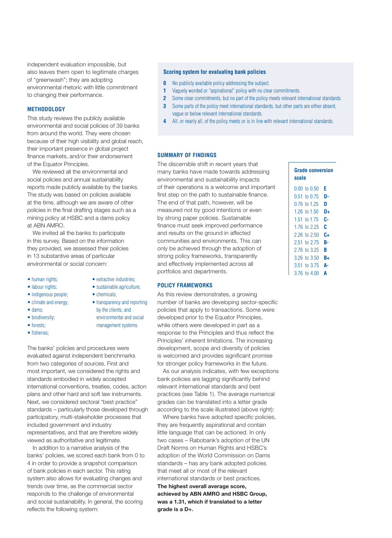independent evaluation impossible, but also leaves them open to legitimate charges of "greenwash"; they are adopting environmental rhetoric with little commitment to changing their performance.

### **METHODOLOGY**

This study reviews the publicly available environmental and social policies of 39 banks from around the world. They were chosen because of their high visibility and global reach, their important presence in global project finance markets, and/or their endorsement of the Equator Principles.

We reviewed all the environmental and social policies and annual sustainability reports made publicly available by the banks. The study was based on policies available at the time, although we are aware of other policies in the final drafting stages such as a mining policy at HSBC and a dams policy at ABN AMRO.

We invited all the banks to participate in this survey. Based on the information they provided, we assessed their policies in 13 substantive areas of particular environmental or social concern:

- human rights;
- labour rights;
- indigenous people;
- climate and energy;
- dams;
- biodiversity;
- forests:
- fisheries:
- extractive industries:
	- sustainable agriculture;
- chemicals:
	- transparency and reporting by the clients; and
	- environmental and social management systems.
- 

The banks' policies and procedures were evaluated against independent benchmarks from two categories of sources. First and most important, we considered the rights and standards embodied in widely accepted international conventions, treaties, codes, action plans and other hard and soft law instruments. Next, we considered sectoral "best practice" standards – particularly those developed through participatory, multi-stakeholder processes that included government and industry representatives, and that are therefore widely viewed as authoritative and legitimate.

In addition to a narrative analysis of the banks' policies, we scored each bank from 0 to 4 in order to provide a snapshot comparison of bank policies in each sector. This rating system also allows for evaluating changes and trends over time, as the commercial sector responds to the challenge of environmental and social sustainability. In general, the scoring reflects the following system:

#### **Scoring system for evaluating bank policies**

- **0** No publicly available policy addressing the subject.
- **1** Vaguely worded or "aspirational" policy with no clear commitments.
- **2** Some clear commitments, but no part of the policy meets relevant international standards.
- **3** Some parts of the policy meet international standards, but other parts are either absent, vague or below relevant international standards.
- **4** All, or nearly all, of the policy meets or is in line with relevant international standards.

### **SUMMARY OF FINDINGS**

The discernible shift in recent years that many banks have made towards addressing environmental and sustainability impacts of their operations is a welcome and important first step on the path to sustainable finance. The end of that path, however, will be measured not by good intentions or even by strong paper policies. Sustainable finance must seek improved performance and results on the ground in affected communities and environments. This can only be achieved through the adoption of strong policy frameworks, transparently and effectively implemented across all portfolios and departments.

#### **POLICY FRAMEWORKS**

As this review demonstrates, a growing number of banks are developing sector-specific policies that apply to transactions. Some were developed prior to the Equator Principles, while others were developed in part as a response to the Principles and thus reflect the Principles' inherent limitations. The increasing development, scope and diversity of policies is welcomed and provides significant promise for stronger policy frameworks in the future.

As our analysis indicates, with few exceptions bank policies are lagging significantly behind relevant international standards and best practices (see Table 1). The average numerical grades can be translated into a letter grade according to the scale illustrated (above right):

Where banks have adopted specific policies, they are frequently aspirational and contain little language that can be actioned. In only two cases – Rabobank's adoption of the UN Draft Norms on Human Rights and HSBC's adoption of the World Commission on Dams standards – has any bank adopted policies that meet all or most of the relevant international standards or best practices. **The highest overall average score, achieved by ABN AMRO and HSBC Group, was a 1.31, which if translated to a letter grade is a D+.** 

# **Grade conversion scale**

| F. | 0.00 to 0.50 |  |
|----|--------------|--|
| n. | 0.51 to 0.75 |  |
| n  | 0 76 to 1 25 |  |
| D+ | 1 26 to 1 50 |  |
| C- | 1.51 to 1.75 |  |
| c  | 176 to 225   |  |
| C+ | 2.26 to 2.50 |  |
| R- | 2.51 to 2.75 |  |
| R  | 2.76 to 3.25 |  |
| R÷ | 3.26 to 3.50 |  |
| А- | 3.51 to 3.75 |  |
|    | 3.76 to 4.00 |  |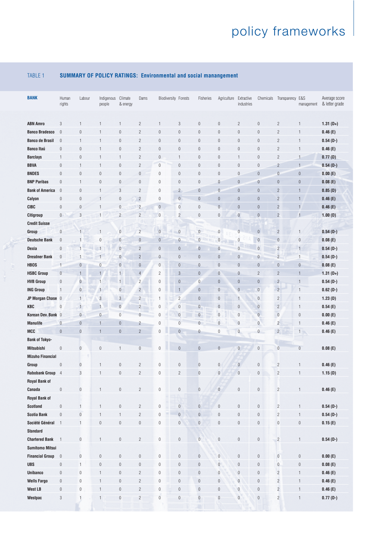## TABLE 1 **SUMMARY OF POLICY RATINGS: Environmental and social manangement**

| <b>BANK</b>                   | Human<br>rights  | Labour           | Indigenous Climate<br>people | & energy         | Dams             | Biodiversity Forests |                         | <b>Fisheries</b> | Agriculture      | Extractive<br>industries | Chemicals        | Transparency E&S                   | management       | Average score<br>& letter grade |
|-------------------------------|------------------|------------------|------------------------------|------------------|------------------|----------------------|-------------------------|------------------|------------------|--------------------------|------------------|------------------------------------|------------------|---------------------------------|
|                               |                  |                  |                              |                  |                  |                      |                         |                  |                  |                          |                  |                                    |                  |                                 |
| <b>ABN Amro</b>               | $\sqrt{3}$       | $\overline{1}$   | 1                            |                  | $\overline{c}$   | 1                    | 3                       | $\bf 0$          | $\boldsymbol{0}$ | $\overline{c}$           | $\bf{0}$         | $\overline{c}$                     | $\mathbf{1}$     | $1.31(D+)$                      |
| <b>Banco Bradesco</b>         | $\boldsymbol{0}$ | $\theta$         | 1                            | $\bf{0}$         | $\overline{c}$   | $\theta$             | 0                       | $\boldsymbol{0}$ | $\boldsymbol{0}$ | $\boldsymbol{0}$         | $\boldsymbol{0}$ | $\overline{c}$                     | $\mathbf{1}$     | 0.46(E)                         |
| <b>Banco de Brasil</b>        | $\boldsymbol{0}$ | $\mathbf{1}$     | $\overline{1}$               | $\boldsymbol{0}$ | $\overline{c}$   | $\boldsymbol{0}$     | 0                       | $\boldsymbol{0}$ | $\boldsymbol{0}$ | $\mathbb O$              | $\boldsymbol{0}$ | $\overline{c}$                     | $\mathbf{1}$     | $0.54(D-)$                      |
| <b>Banco Itaú</b>             | $\mathbf 0$      | $\theta$         | $\mathbf{1}$                 | $\bf{0}$         | $\sqrt{2}$       | $\boldsymbol{0}$     | 0                       | $\boldsymbol{0}$ | $\boldsymbol{0}$ | $\mathbb O$              | $\bf{0}$         | $\sqrt{2}$                         | $\mathbf{1}$     | 0.46(E)                         |
| <b>Barclays</b>               | 1                | $\boldsymbol{0}$ | $\mathbf{1}$                 | 1                | $\overline{c}$   | $\boldsymbol{0}$     | $\overline{1}$          | $\boldsymbol{0}$ | $\boldsymbol{0}$ | $\mathbf{1}$             | $\bf{0}$         | $\overline{c}$                     | $\mathbf{1}$     | 0.77(D)                         |
| <b>BBVA</b>                   | $\boldsymbol{0}$ | $\overline{1}$   | $\overline{1}$               | $\boldsymbol{0}$ | $\overline{c}$   | $\boldsymbol{0}$     | 0                       | $\boldsymbol{0}$ | $\boldsymbol{0}$ | $\theta$                 | $\boldsymbol{0}$ | $\overline{c}$                     | $\mathbf{1}$     | $0.54(D-)$                      |
| <b>BNDES</b>                  | $\boldsymbol{0}$ | $\boldsymbol{0}$ | $\bf 0$                      | $\bf{0}$         | $\boldsymbol{0}$ | $\boldsymbol{0}$     | 0                       | $\boldsymbol{0}$ | $\boldsymbol{0}$ | $\mathbb O$              | $\boldsymbol{0}$ | $\boldsymbol{0}$                   | $\boldsymbol{0}$ | 0.00(E)                         |
| <b>BNP Paribas</b>            | $\boldsymbol{0}$ | $\overline{1}$   | $\boldsymbol{0}$             | $\bf{0}$         | $\mathbf 0$      | $\boldsymbol{0}$     | 0                       | $\boldsymbol{0}$ | $\boldsymbol{0}$ | $\mathbf 0$              | $\pmb{0}$        | $\boldsymbol{0}$                   | $\boldsymbol{0}$ | 0.08(E)                         |
| <b>Bank of America</b>        | $\boldsymbol{0}$ | $\boldsymbol{0}$ | $\overline{1}$               | 3                | $\overline{c}$   | $\boldsymbol{0}$     | $\overline{\mathbf{c}}$ | $\boldsymbol{0}$ | $\bf 0$          | $\boldsymbol{0}$         | $\boldsymbol{0}$ | $\overline{c}$                     | $\overline{1}$   | 0.85(D)                         |
| Calyon                        | $\boldsymbol{0}$ | $\bf 0$          | $\mathbf{1}$                 | $\boldsymbol{0}$ | $\overline{c}$   | $\boldsymbol{0}$     | $\bf 0$                 | $\boldsymbol{0}$ | $\boldsymbol{0}$ | $\boldsymbol{0}$         | $\boldsymbol{0}$ | $\overline{c}$                     | $\mathbf{1}$     | 0.46(E)                         |
| <b>CIBC</b>                   | $\boldsymbol{0}$ | $\pmb{0}$        | $\mathbf{1}$                 | $\bf{0}$         | $\overline{c}$   | $\boldsymbol{0}$     | 0                       | $\boldsymbol{0}$ | $\theta$         | $\boldsymbol{0}$         | $\bf{0}$         | $\overline{c}$                     | $\overline{1}$   | 0.46(E)                         |
| Citigroup                     | $\boldsymbol{0}$ | 3                | $\mathbf{1}$                 | $\overline{c}$   | $\overline{c}$   | $\mathbf 0$          | $\overline{c}$          | $\mathbf 0$      | $\boldsymbol{0}$ | $\bf 0$                  | $\pmb{0}$        | $\overline{c}$                     | $\mathbf{1}$     | 1.00(D)                         |
| <b>Credit Suisse</b>          |                  |                  |                              |                  |                  |                      |                         |                  |                  |                          |                  |                                    |                  |                                 |
| Group                         | $\boldsymbol{0}$ | 1                | $\overline{1}$               | $\pmb{0}$        | $\overline{c}$   | $\boldsymbol{0}$     | $\boldsymbol{0}$        | $\boldsymbol{0}$ | $\bf 0$          | $\boldsymbol{0}$         | $\pmb{0}$        | $\overline{c}$                     | $\mathbf{1}$     | $0.54(D-)$                      |
| <b>Deutsche Bank</b>          | $\boldsymbol{0}$ | $\mathbf{1}$     | 0                            | $\theta$         | $\bf 0$          | $\bf 0$              | $\pmb{0}$               | $\bf 0$          | $\bf 0$          | $\bf 0$                  | $\mathbf{0}$     | $\bf 0$                            | $\boldsymbol{0}$ | 0.08(E)                         |
| <b>Dexia</b>                  | $\mathbf 0$      | $\overline{1}$   | $\overline{1}$               | $\mathbf{0}$     | $\overline{c}$   | $\boldsymbol{0}$     | $\boldsymbol{0}$        | $\boldsymbol{0}$ | $\boldsymbol{0}$ | $\theta$                 | $\bf{0}$         | $\overline{c}$                     | $\mathbf{1}$     | $0.54(D-)$                      |
| <b>Dresdner Bank</b>          | $\boldsymbol{0}$ | $\mathbf{1}$     | $\overline{1}$               | $\bf{0}$         | $\overline{c}$   | $\boldsymbol{0}$     | $\boldsymbol{0}$        | $\boldsymbol{0}$ | $\boldsymbol{0}$ | $\bf 0$                  | $\bf{0}$         | $\overline{c}$                     | $\mathbf{1}$     | $0.54(D-)$                      |
| <b>HBOS</b>                   | 1                | $\boldsymbol{0}$ | $\boldsymbol{0}$             | $\boldsymbol{0}$ | $\pmb{0}$        | $\boldsymbol{0}$     | $\pmb{0}$               | $\bf 0$          | $\boldsymbol{0}$ | $\boldsymbol{0}$         | $\boldsymbol{0}$ | $\boldsymbol{0}$                   | $\boldsymbol{0}$ | 0.08(E)                         |
| <b>HSBC Group</b>             | $\boldsymbol{0}$ | $\overline{1}$   | $\mathbf{1}$                 | 1                | $\overline{4}$   | $\overline{c}$       | 3                       | $\bf 0$          | $\boldsymbol{0}$ | $\boldsymbol{0}$         | $\overline{c}$   | $\sqrt{2}$                         | $\overline{1}$   | $1.31(D+)$                      |
| <b>HVB Group</b>              | $\boldsymbol{0}$ | $\bf{0}$         | $\overline{1}$               | 1                | $\overline{c}$   | $\boldsymbol{0}$     | $\pmb{0}$               | $\boldsymbol{0}$ | $\boldsymbol{0}$ | $\boldsymbol{0}$         | $\bf{0}$         | $\overline{c}$                     | $\mathbf{1}$     | $0.54(D-)$                      |
| <b>ING Group</b>              | $\mathbf{1}$     | $\theta$         | $\overline{1}$               | $\boldsymbol{0}$ | $\overline{c}$   | $\boldsymbol{0}$     | 1                       | $\boldsymbol{0}$ | $\boldsymbol{0}$ | $\bf 0$                  | $\mathbf{0}$     | $\overline{c}$                     | $\mathbf{1}$     | $0.62(D-)$                      |
| JP Morgan Chase 0             |                  | $\overline{1}$   | $\sqrt{3}$                   | 3                | $\overline{c}$   | 1                    | $\overline{c}$          | $\bf 0$          | $\bf 0$          | $\overline{1}$           | $\boldsymbol{0}$ | $\overline{c}$                     | $\mathbf{1}$     | 1.23(D)                         |
| KBC                           | $\boldsymbol{0}$ | $\overline{1}$   | $\mathbf{1}$                 | $\mathbf 0$      | $\overline{c}$   | $\boldsymbol{0}$     | $\boldsymbol{0}$        | $\boldsymbol{0}$ | $\bf 0$          | $\boldsymbol{0}$         | $\bf{0}$         | $\overline{c}$                     | $\mathbf{1}$     | 0.54(E)                         |
| Korean Dev. Bank 0            |                  | $\pmb{0}$        | $\bf 0$                      | $\boldsymbol{0}$ | $\theta$         | $\boldsymbol{0}$     | $\boldsymbol{0}$        | $\bf 0$          | $\bf 0$          | $\boldsymbol{0}$         | $\pmb{0}$        | $\bf 0$                            | $\boldsymbol{0}$ | 0.00(E)                         |
| <b>Manulife</b>               | $\boldsymbol{0}$ | $\pmb{0}$        | $\overline{1}$               | $\boldsymbol{0}$ | $\overline{c}$   | $\boldsymbol{0}$     | $\overline{0}$          | $\theta$         | $\bf 0$          | $\mathbf{0}$             | $\boldsymbol{0}$ | $\overline{c}$                     | $\overline{1}$   | 0.46(E)                         |
| <b>MCC</b>                    | $\boldsymbol{0}$ | $\boldsymbol{0}$ | $\mathbf{1}$                 | $\boldsymbol{0}$ | $\overline{c}$   | $\boldsymbol{0}$     | $\boldsymbol{0}$        | $\boldsymbol{0}$ | $\boldsymbol{0}$ | $\boldsymbol{0}$         | $\boldsymbol{0}$ | $\overline{c}$                     | $\mathbf{1}$     | 0.46(E)                         |
| <b>Bank of Tokyo-</b>         |                  |                  |                              |                  |                  |                      |                         |                  |                  |                          |                  |                                    |                  |                                 |
| <b>Mitsubishi</b>             | $\mathbf 0$      | $\bf 0$          | $\mathbb O$                  | $\mathbf{1}$     | $\boldsymbol{0}$ | $\boldsymbol{0}$     | $\boldsymbol{0}$        | $\boldsymbol{0}$ | $\bf 0$          | $\mathbb O$              | $\boldsymbol{0}$ | $\boldsymbol{0}$                   | $\boldsymbol{0}$ | 0.08(E)                         |
| <b>Mizuho Financial</b>       |                  |                  |                              |                  |                  |                      |                         |                  |                  |                          |                  |                                    |                  |                                 |
| Group                         | $\boldsymbol{0}$ | $\bf 0$          | $\mathbf{1}$                 | $\boldsymbol{0}$ | $\overline{c}$   | $\boldsymbol{0}$     | 0                       | $\boldsymbol{0}$ | $\boldsymbol{0}$ | $\boldsymbol{0}$         | $\boldsymbol{0}$ | $\sqrt{2}$                         | $\mathbf{1}$     | 0.46(E)                         |
| <b>Rabobank Group</b>         | $\overline{4}$   | 3                | $\mathbf{1}$                 | $\boldsymbol{0}$ | $\overline{c}$   | $\boldsymbol{0}$     | $\overline{c}$          | $\bf 0$          | $\mathbf{0}$     | $\theta$                 | $\boldsymbol{0}$ | $\overline{c}$                     | $\mathbf{1}$     | 1.15(D)                         |
| <b>Royal Bank of</b>          |                  |                  |                              |                  |                  |                      |                         |                  |                  |                          |                  |                                    |                  |                                 |
| Canada                        | $\bf 0$          | $\boldsymbol{0}$ | $\mathbf{1}$                 | $\boldsymbol{0}$ | $\overline{c}$   | $\mathbf 0$          | $\mathbb O$             | $\boldsymbol{0}$ | $\boldsymbol{0}$ | $\boldsymbol{0}$         | $\boldsymbol{0}$ | $\sqrt{2}$                         | $\mathbf{1}$     | 0.46(E)                         |
| <b>Royal Bank of</b>          |                  |                  |                              |                  |                  |                      |                         |                  |                  |                          |                  |                                    |                  |                                 |
| <b>Scotland</b>               | $\bf 0$          | $\mathbf{1}$     | $\mathbf{1}$                 | $\boldsymbol{0}$ | $\sqrt{2}$       | $\boldsymbol{0}$     | $\boldsymbol{0}$        | $\boldsymbol{0}$ | $\boldsymbol{0}$ | $\mathbf 0$              | $\boldsymbol{0}$ | $\overline{c}$                     | $\mathbf{1}$     | $0.54(D-)$                      |
| <b>Scotia Bank</b>            | $\bf 0$          | $\bf 0$          | $\mathbf{1}$                 | $\mathbf{1}$     | $\overline{c}$   | $\boldsymbol{0}$     | $\bf 0$                 | $\boldsymbol{0}$ | $\boldsymbol{0}$ | $\mathbf 0$              | $\boldsymbol{0}$ | $\overline{c}$                     | $\mathbf{1}$     | $0.54(D-)$                      |
| Société Général               | $\overline{1}$   | $\overline{1}$   | $\mathbb O$                  | $\boldsymbol{0}$ | $\mathbb O$      | $\boldsymbol{0}$     | $\boldsymbol{0}$        | $\boldsymbol{0}$ | $\boldsymbol{0}$ | $\mathbb O$              | $\boldsymbol{0}$ | $\boldsymbol{0}$                   | $\mathbb O$      | 0.15(E)                         |
| <b>Standard</b>               |                  |                  |                              |                  |                  |                      |                         |                  |                  |                          |                  |                                    |                  |                                 |
| <b>Chartered Bank</b>         | $\mathbf{1}$     | $\boldsymbol{0}$ | $\mathbf{1}$                 | $\boldsymbol{0}$ | $\overline{c}$   | $\boldsymbol{0}$     | $\boldsymbol{0}$        | $\boldsymbol{0}$ | $\boldsymbol{0}$ | $\mathbb O$              | $\boldsymbol{0}$ | $\sqrt{2}$                         | $\mathbf{1}$     | $0.54(D-)$                      |
| <b>Sumitomo Mitsui</b>        |                  |                  |                              |                  |                  |                      |                         |                  |                  |                          |                  |                                    |                  |                                 |
|                               |                  | $\pmb{0}$        |                              |                  |                  |                      |                         |                  |                  |                          |                  |                                    |                  |                                 |
| <b>Financial Group</b>        | $\boldsymbol{0}$ |                  | $\mathbb O$                  | $\boldsymbol{0}$ | $\mathbb O$      | $\boldsymbol{0}$     | $\boldsymbol{0}$        | $\boldsymbol{0}$ | $\boldsymbol{0}$ | $\mathbb O$              | $\boldsymbol{0}$ | $\boldsymbol{0}$                   | $\boldsymbol{0}$ | 0.00(E)                         |
| <b>UBS</b><br><b>Unibanco</b> | $\boldsymbol{0}$ | $\mathbf{1}$     | $\mathbf 0$<br>$\mathbf{1}$  | $\boldsymbol{0}$ | $\mathbb O$      | $\boldsymbol{0}$     | $\boldsymbol{0}$        | $\boldsymbol{0}$ | $\boldsymbol{0}$ | $\mathbb O$              | $\boldsymbol{0}$ | $\boldsymbol{0}$<br>$\overline{c}$ | $\mathbb O$      | 0.08(E)                         |
|                               | $\boldsymbol{0}$ | $\boldsymbol{0}$ |                              | $\boldsymbol{0}$ | $\sqrt{2}$       | $\boldsymbol{0}$     | $\boldsymbol{0}$        | $\boldsymbol{0}$ | $\boldsymbol{0}$ | $\bf 0$                  | $\boldsymbol{0}$ | $\overline{c}$                     | $\mathbf{1}$     | 0.46(E)                         |
| <b>Wells Fargo</b>            | $\boldsymbol{0}$ | $\boldsymbol{0}$ | $\mathbf{1}$                 | $\boldsymbol{0}$ | $\sqrt{2}$       | $\boldsymbol{0}$     | $\boldsymbol{0}$        | $\boldsymbol{0}$ | $\bf 0$          | $\bf 0$                  | $\boldsymbol{0}$ |                                    | $\mathbf{1}$     | 0.46(E)                         |
| <b>West LB</b>                | $\boldsymbol{0}$ | $\boldsymbol{0}$ | $\mathbf{1}$                 | $\boldsymbol{0}$ | $\overline{c}$   | $\boldsymbol{0}$     | $\boldsymbol{0}$        | $\boldsymbol{0}$ | $\boldsymbol{0}$ | $\mathbb O$              | $\boldsymbol{0}$ | $\overline{c}$                     | $\mathbf{1}$     | 0.46(E)                         |
| Westpac                       | $\sqrt{3}$       | $\overline{1}$   | $\mathbf{1}$                 | $\boldsymbol{0}$ | $\overline{c}$   | $\boldsymbol{0}$     | $\boldsymbol{0}$        | $\theta$<br>×    | $\bf 0$          | $\bf 0$                  | $\boldsymbol{0}$ | $\overline{c}$                     | $\mathbf{1}$     | $0.77(D-)$                      |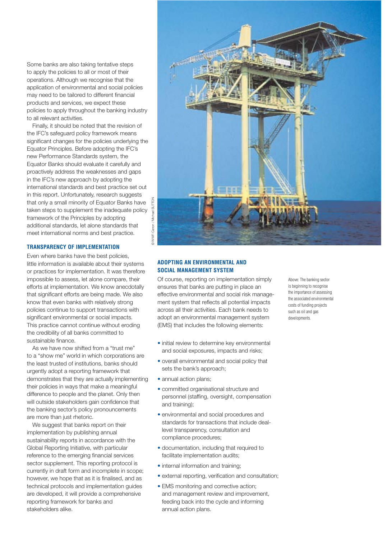Some banks are also taking tentative steps to apply the policies to all or most of their operations. Although we recognise that the application of environmental and social policies may need to be tailored to different financial products and services, we expect these policies to apply throughout the banking industry to all relevant activities.

Finally, it should be noted that the revision of the IFC's safeguard policy framework means significant changes for the policies underlying the Equator Principles. Before adopting the IFC's new Performance Standards system, the Equator Banks should evaluate it carefully and proactively address the weaknesses and gaps in the IFC's new approach by adopting the international standards and best practice set out in this report. Unfortunately, research suggests that only a small minority of Equator Banks have taken steps to supplement the inadequate policy framework of the Principles by adopting additional standards, let alone standards that meet international norms and best practice.

#### **TRANSPARENCY OF IMPLEMENTATION**

Even where banks have the best policies, little information is available about their systems or practices for implementation. It was therefore impossible to assess, let alone compare, their efforts at implementation. We know anecdotally that significant efforts are being made. We also know that even banks with relatively strong policies continue to support transactions with significant environmental or social impacts. This practice cannot continue without eroding the credibility of all banks committed to sustainable finance.

As we have now shifted from a "trust me" to a "show me" world in which corporations are the least trusted of institutions, banks should urgently adopt a reporting framework that demonstrates that they are actually implementing their policies in ways that make a meaningful difference to people and the planet. Only then will outside stakeholders gain confidence that the banking sector's policy pronouncements are more than just rhetoric.

We suggest that banks report on their implementation by publishing annual sustainability reports in accordance with the Global Reporting Initiative, with particular reference to the emerging financial services sector supplement. This reporting protocol is currently in draft form and incomplete in scope; however, we hope that as it is finalised, and as technical protocols and implementation guides are developed, it will provide a comprehensive reporting framework for banks and stakeholders alike.



### **ADOPTING AN ENVIRONMENTAL AND SOCIAL MANAGEMENT SYSTEM**

Of course, reporting on implementation simply ensures that banks are putting in place an effective environmental and social risk management system that reflects all potential impacts across all their activities. Each bank needs to adopt an environmental management system (EMS) that includes the following elements:

- initial review to determine key environmental and social exposures, impacts and risks;
- overall environmental and social policy that sets the bank's approach;
- annual action plans;
- committed organisational structure and personnel (staffing, oversight, compensation and training);
- environmental and social procedures and standards for transactions that include deallevel transparency, consultation and compliance procedures;
- documentation, including that required to facilitate implementation audits;
- internal information and training;
- external reporting, verification and consultation;
- EMS monitoring and corrective action; and management review and improvement, feeding back into the cycle and informing annual action plans.

Above: The banking sector is beginning to recognise the importance of assessing the associated environmental costs of funding projects such as oil and gas developments.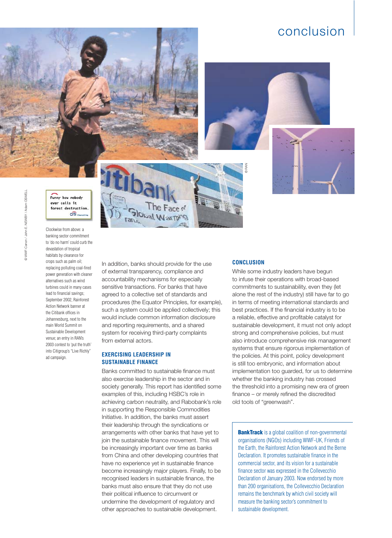# conclusion





Funny how nobody ever calls it forest destruction. citi

Clockwise from above: a banking sector commitment to 'do no harm' could curb the devastation of tropical habitats by clearance for crops such as palm oil; replacing polluting coal-fired power generation with cleaner alternatives such as wind turbines could in many cases lead to financial savings; September 2002, Rainforest Action Network banner at the Citibank offices in Johannesburg, next to the main World Summit on Sustainable Development venue; an entry in RAN's 2003 contest to 'put the truth' into Citigroup's "Live Richly" ad campaign.



In addition, banks should provide for the use of external transparency, compliance and accountability mechanisms for especially sensitive transactions. For banks that have agreed to a collective set of standards and procedures (the Equator Principles, for example), such a system could be applied collectively; this would include common information disclosure and reporting requirements, and a shared system for receiving third-party complaints from external actors.

## **EXERCISING LEADERSHIP IN SUSTAINABLE FINANCE**

Banks committed to sustainable finance must also exercise leadership in the sector and in society generally. This report has identified some examples of this, including HSBC's role in achieving carbon neutrality, and Rabobank's role in supporting the Responsible Commodities Initiative. In addition, the banks must assert their leadership through the syndications or arrangements with other banks that have yet to join the sustainable finance movement. This will be increasingly important over time as banks from China and other developing countries that have no experience yet in sustainable finance become increasingly major players. Finally, to be recognised leaders in sustainable finance, the banks must also ensure that they do not use their political influence to circumvent or undermine the development of regulatory and other approaches to sustainable development.

#### **CONCLUSION**

© RAN

While some industry leaders have begun to infuse their operations with broad-based commitments to sustainability, even they (let alone the rest of the industry) still have far to go in terms of meeting international standards and best practices. If the financial industry is to be a reliable, effective and profitable catalyst for sustainable development, it must not only adopt strong and comprehensive policies, but must also introduce comprehensive risk management systems that ensure rigorous implementation of the policies. At this point, policy development is still too embryonic, and information about implementation too guarded, for us to determine whether the banking industry has crossed the threshold into a promising new era of green finance – or merely refined the discredited old tools of "greenwash".

**BankTrack** is a global coalition of non-governmental organisations (NGOs) including WWF-UK, Friends of the Earth, the Rainforest Action Network and the Berne Declaration. It promotes sustainable finance in the commercial sector, and its vision for a sustainable finance sector was expressed in the Collevecchio Declaration of January 2003. Now endorsed by more than 200 organisations, the Collevecchio Declaration remains the benchmark by which civil society will measure the banking sector's commitment to sustainable development.